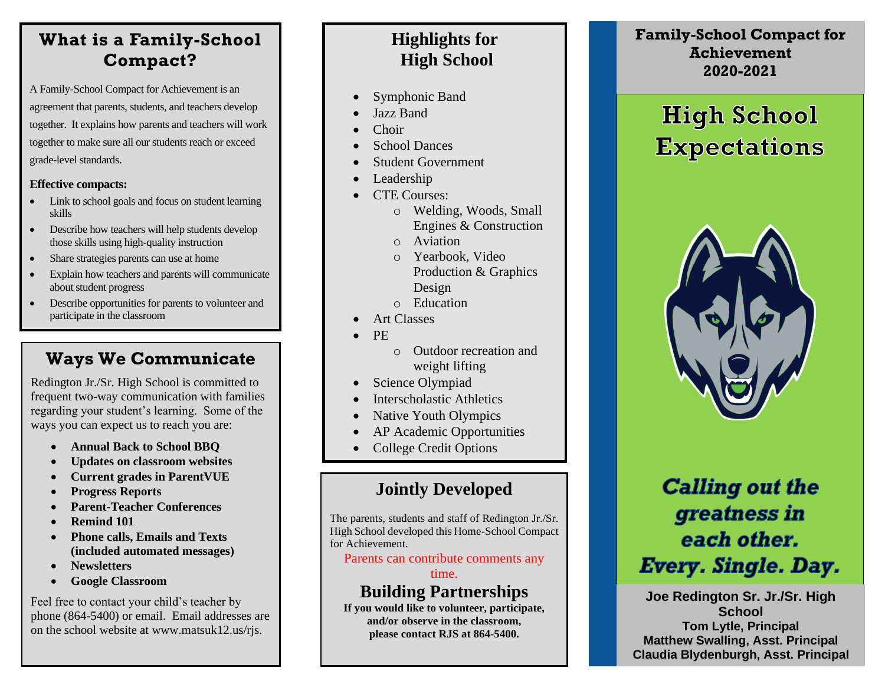### **What is a Family-School Compact?**

A Family-School Compact for Achievement is an agreement that parents, students, and teachers develop together. It explains how parents and teachers will work together to make sure all our students reach or exceed grade-level standards.

#### **Effective compacts:**

- Link to school goals and focus on student learning skills
- Describe how teachers will help students develop those skills using high-quality instruction
- Share strategies parents can use at home
- Explain how teachers and parents will communicate about student progress
- Describe opportunities for parents to volunteer and participate in the classroom

### **Ways We Communicate**

Redington Jr./Sr. High School is committed to frequent two-way communication with families regarding your student's learning. Some of the ways you can expect us to reach you are:

- **Annual Back to School BBQ**
- **Updates on classroom websites**
- **Current grades in ParentVUE**
- **Progress Reports**
- **Parent-Teacher Conferences**
- **Remind 101**
- **Phone calls, Emails and Texts (included automated messages)**
- **Newsletters**
- **Google Classroom**

Feel free to contact your child's teacher by phone (864-5400) or email. Email addresses are on the school website at www.matsuk12.us/rjs.

### **Highlights for High School**

- Symphonic Band
- Jazz Band
- Choir
- School Dances
- Student Government
- Leadership
- CTE Courses:
	- o Welding, Woods, Small Engines & Construction
	- o Aviation
	- o Yearbook, Video Production & Graphics Design
	- o Education
- Art Classes
- PE
- o Outdoor recreation and weight lifting
- Science Olympiad
- Interscholastic Athletics
- Native Youth Olympics
- AP Academic Opportunities
- College Credit Options

### **Jointly Developed**

֡֡֡֡֡

The parents, students and staff of Redington Jr./Sr. High School developed this Home-School Compact for Achievement.

Parents can contribute comments any

time.

### **Building Partnerships**

**If you would like to volunteer, participate, and/or observe in the classroom, please contact RJS at 864-5400.**

**Family-School Compact for Achievement 2020-2021**

# **High School Expectations**



## **Calling out the** greatness in each other. Every. Single. Day.

**Joe Redington Sr. Jr./Sr. High School Tom Lytle, Principal Matthew Swalling, Asst. Principal Claudia Blydenburgh, Asst. Principal**